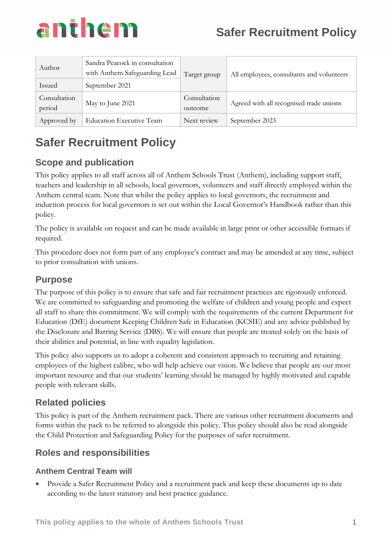

| Author<br>Issued       | Sandra Peacock in consultation<br>with Anthem Safeguarding Lead<br>September 2021 | Target group            | All employees, consultants and volunteers |
|------------------------|-----------------------------------------------------------------------------------|-------------------------|-------------------------------------------|
| Consultation<br>period | May to June 2021                                                                  | Consultation<br>outcome | Agreed with all recognised trade unions   |
| Approved by            | <b>Education Executive Team</b>                                                   | Next review             | September 2023                            |

## **Scope and publication**

This policy applies to all staff across all of Anthem Schools Trust (Anthem), including support staff, teachers and leadership in all schools, local governors, volunteers and staff directly employed within the Anthem central team. Note that whilst the policy applies to local governors, the recruitment and induction process for local governors is set out within the Local Governor's Handbook rather than this policy.

The policy is available on request and can be made available in large print or other accessible formats if required.

This procedure does not form part of any employee's contract and may be amended at any time, subject to prior consultation with unions.

## **Purpose**

The purpose of this policy is to ensure that safe and fair recruitment practices are rigorously enforced. We are committed to safeguarding and promoting the welfare of children and young people and expect all staff to share this commitment. We will comply with the requirements of the current Department for Education (DfE) document Keeping Children Safe in Education (KCSIE) and any advice published by the Disclosure and Barring Service (DBS). We will ensure that people are treated solely on the basis of their abilities and potential, in line with equality legislation.

This policy also supports us to adopt a coherent and consistent approach to recruiting and retaining employees of the highest calibre, who will help achieve our vision. We believe that people are our most important resource and that our students' learning should be managed by highly motivated and capable people with relevant skills.

## **Related policies**

This policy is part of the Anthem recruitment pack. There are various other recruitment documents and forms within the pack to be referred to alongside this policy. This policy should also be read alongside the Child Protection and Safeguarding Policy for the purposes of safer recruitment.

## **Roles and responsibilities**

## **Anthem Central Team will**

• Provide a Safer Recruitment Policy and a recruitment pack and keep these documents up to date according to the latest statutory and best practice guidance.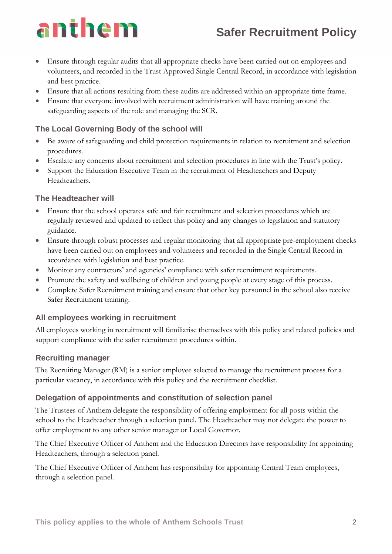# anthem

- Ensure through regular audits that all appropriate checks have been carried out on employees and volunteers, and recorded in the Trust Approved Single Central Record, in accordance with legislation and best practice.
- Ensure that all actions resulting from these audits are addressed within an appropriate time frame.
- Ensure that everyone involved with recruitment administration will have training around the safeguarding aspects of the role and managing the SCR.

## **The Local Governing Body of the school will**

- Be aware of safeguarding and child protection requirements in relation to recruitment and selection procedures.
- Escalate any concerns about recruitment and selection procedures in line with the Trust's policy.
- Support the Education Executive Team in the recruitment of Headteachers and Deputy Headteachers.

### **The Headteacher will**

- Ensure that the school operates safe and fair recruitment and selection procedures which are regularly reviewed and updated to reflect this policy and any changes to legislation and statutory guidance.
- Ensure through robust processes and regular monitoring that all appropriate pre-employment checks have been carried out on employees and volunteers and recorded in the Single Central Record in accordance with legislation and best practice.
- Monitor any contractors' and agencies' compliance with safer recruitment requirements.
- Promote the safety and wellbeing of children and young people at every stage of this process.
- Complete Safer Recruitment training and ensure that other key personnel in the school also receive Safer Recruitment training.

## **All employees working in recruitment**

All employees working in recruitment will familiarise themselves with this policy and related policies and support compliance with the safer recruitment procedures within.

### **Recruiting manager**

The Recruiting Manager (RM) is a senior employee selected to manage the recruitment process for a particular vacancy, in accordance with this policy and the recruitment checklist.

### **Delegation of appointments and constitution of selection panel**

The Trustees of Anthem delegate the responsibility of offering employment for all posts within the school to the Headteacher through a selection panel. The Headteacher may not delegate the power to offer employment to any other senior manager or Local Governor.

The Chief Executive Officer of Anthem and the Education Directors have responsibility for appointing Headteachers, through a selection panel.

The Chief Executive Officer of Anthem has responsibility for appointing Central Team employees, through a selection panel.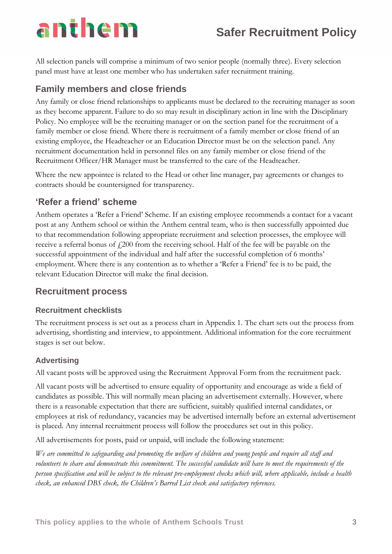# anthem

All selection panels will comprise a minimum of two senior people (normally three). Every selection panel must have at least one member who has undertaken safer recruitment training.

## **Family members and close friends**

Any family or close friend relationships to applicants must be declared to the recruiting manager as soon as they become apparent. Failure to do so may result in disciplinary action in line with the Disciplinary Policy. No employee will be the recruiting manager or on the section panel for the recruitment of a family member or close friend. Where there is recruitment of a family member or close friend of an existing employee, the Headteacher or an Education Director must be on the selection panel. Any recruitment documentation held in personnel files on any family member or close friend of the Recruitment Officer/HR Manager must be transferred to the care of the Headteacher.

Where the new appointee is related to the Head or other line manager, pay agreements or changes to contracts should be countersigned for transparency.

## **'Refer a friend' scheme**

Anthem operates a 'Refer a Friend' Scheme. If an existing employee recommends a contact for a vacant post at any Anthem school or within the Anthem central team, who is then successfully appointed due to that recommendation following appropriate recruitment and selection processes, the employee will receive a referral bonus of  $f(200)$  from the receiving school. Half of the fee will be payable on the successful appointment of the individual and half after the successful completion of 6 months' employment. Where there is any contention as to whether a 'Refer a Friend' fee is to be paid, the relevant Education Director will make the final decision.

## **Recruitment process**

### **Recruitment checklists**

The recruitment process is set out as a process chart in Appendix 1. The chart sets out the process from advertising, shortlisting and interview, to appointment. Additional information for the core recruitment stages is set out below.

## **Advertising**

All vacant posts will be approved using the Recruitment Approval Form from the recruitment pack.

All vacant posts will be advertised to ensure equality of opportunity and encourage as wide a field of candidates as possible. This will normally mean placing an advertisement externally. However, where there is a reasonable expectation that there are sufficient, suitably qualified internal candidates, or employees at risk of redundancy, vacancies may be advertised internally before an external advertisement is placed. Any internal recruitment process will follow the procedures set out in this policy.

All advertisements for posts, paid or unpaid, will include the following statement:

*We are committed to safeguarding and promoting the welfare of children and young people and require all staff and volunteers to share and demonstrate this commitment. The successful candidate will have to meet the requirements of the person specification and will be subject to the relevant pre-employment checks which will, where applicable, include a health check, an enhanced DBS check, the Children's Barred List check and satisfactory references.*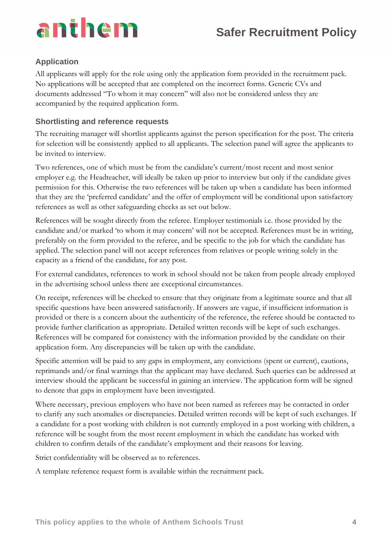

## **Application**

All applicants will apply for the role using only the application form provided in the recruitment pack. No applications will be accepted that are completed on the incorrect forms. Generic CVs and documents addressed "To whom it may concern" will also not be considered unless they are accompanied by the required application form.

#### **Shortlisting and reference requests**

The recruiting manager will shortlist applicants against the person specification for the post. The criteria for selection will be consistently applied to all applicants. The selection panel will agree the applicants to be invited to interview.

Two references, one of which must be from the candidate's current/most recent and most senior employer e.g. the Headteacher, will ideally be taken up prior to interview but only if the candidate gives permission for this. Otherwise the two references will be taken up when a candidate has been informed that they are the 'preferred candidate' and the offer of employment will be conditional upon satisfactory references as well as other safeguarding checks as set out below.

References will be sought directly from the referee. Employer testimonials i.e. those provided by the candidate and/or marked 'to whom it may concern' will not be accepted. References must be in writing, preferably on the form provided to the referee, and be specific to the job for which the candidate has applied. The selection panel will not accept references from relatives or people writing solely in the capacity as a friend of the candidate, for any post.

For external candidates, references to work in school should not be taken from people already employed in the advertising school unless there are exceptional circumstances.

On receipt, references will be checked to ensure that they originate from a legitimate source and that all specific questions have been answered satisfactorily. If answers are vague, if insufficient information is provided or there is a concern about the authenticity of the reference, the referee should be contacted to provide further clarification as appropriate. Detailed written records will be kept of such exchanges. References will be compared for consistency with the information provided by the candidate on their application form. Any discrepancies will be taken up with the candidate.

Specific attention will be paid to any gaps in employment, any convictions (spent or current), cautions, reprimands and/or final warnings that the applicant may have declared. Such queries can be addressed at interview should the applicant be successful in gaining an interview. The application form will be signed to denote that gaps in employment have been investigated.

Where necessary, previous employers who have not been named as referees may be contacted in order to clarify any such anomalies or discrepancies. Detailed written records will be kept of such exchanges. If a candidate for a post working with children is not currently employed in a post working with children, a reference will be sought from the most recent employment in which the candidate has worked with children to confirm details of the candidate's employment and their reasons for leaving.

Strict confidentiality will be observed as to references.

A template reference request form is available within the recruitment pack.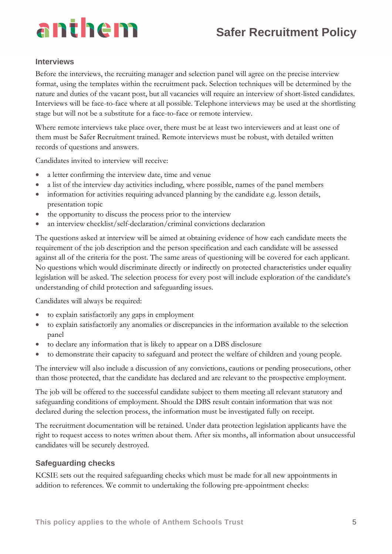

#### **Interviews**

Before the interviews, the recruiting manager and selection panel will agree on the precise interview format, using the templates within the recruitment pack. Selection techniques will be determined by the nature and duties of the vacant post, but all vacancies will require an interview of short-listed candidates. Interviews will be face-to-face where at all possible. Telephone interviews may be used at the shortlisting stage but will not be a substitute for a face-to-face or remote interview.

Where remote interviews take place over, there must be at least two interviewers and at least one of them must be Safer Recruitment trained. Remote interviews must be robust, with detailed written records of questions and answers.

Candidates invited to interview will receive:

- a letter confirming the interview date, time and venue
- a list of the interview day activities including, where possible, names of the panel members
- information for activities requiring advanced planning by the candidate e.g. lesson details, presentation topic
- the opportunity to discuss the process prior to the interview
- an interview checklist/self-declaration/criminal convictions declaration

The questions asked at interview will be aimed at obtaining evidence of how each candidate meets the requirement of the job description and the person specification and each candidate will be assessed against all of the criteria for the post. The same areas of questioning will be covered for each applicant. No questions which would discriminate directly or indirectly on protected characteristics under equality legislation will be asked. The selection process for every post will include exploration of the candidate's understanding of child protection and safeguarding issues.

Candidates will always be required:

- to explain satisfactorily any gaps in employment
- to explain satisfactorily any anomalies or discrepancies in the information available to the selection panel
- to declare any information that is likely to appear on a DBS disclosure
- to demonstrate their capacity to safeguard and protect the welfare of children and young people.

The interview will also include a discussion of any convictions, cautions or pending prosecutions, other than those protected, that the candidate has declared and are relevant to the prospective employment.

The job will be offered to the successful candidate subject to them meeting all relevant statutory and safeguarding conditions of employment. Should the DBS result contain information that was not declared during the selection process, the information must be investigated fully on receipt.

The recruitment documentation will be retained. Under data protection legislation applicants have the right to request access to notes written about them. After six months, all information about unsuccessful candidates will be securely destroyed.

### **Safeguarding checks**

KCSIE sets out the required safeguarding checks which must be made for all new appointments in addition to references. We commit to undertaking the following pre-appointment checks: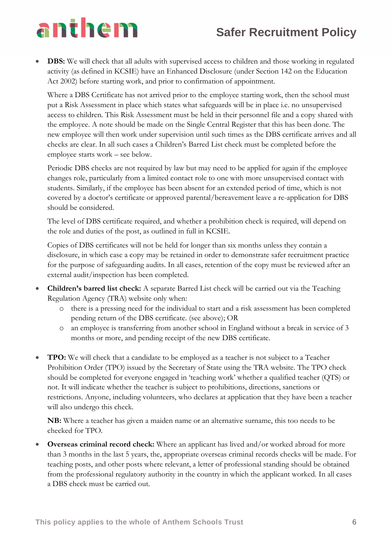# anthem

**DBS:** We will check that all adults with supervised access to children and those working in regulated activity (as defined in KCSIE) have an Enhanced Disclosure (under Section 142 on the Education Act 2002) before starting work, and prior to confirmation of appointment.

Where a DBS Certificate has not arrived prior to the employee starting work, then the school must put a Risk Assessment in place which states what safeguards will be in place i.e. no unsupervised access to children. This Risk Assessment must be held in their personnel file and a copy shared with the employee. A note should be made on the Single Central Register that this has been done. The new employee will then work under supervision until such times as the DBS certificate arrives and all checks are clear. In all such cases a Children's Barred List check must be completed before the employee starts work – see below.

Periodic DBS checks are not required by law but may need to be applied for again if the employee changes role, particularly from a limited contact role to one with more unsupervised contact with students. Similarly, if the employee has been absent for an extended period of time, which is not covered by a doctor's certificate or approved parental/bereavement leave a re-application for DBS should be considered.

The level of DBS certificate required, and whether a prohibition check is required, will depend on the role and duties of the post, as outlined in full in KCSIE.

Copies of DBS certificates will not be held for longer than six months unless they contain a disclosure, in which case a copy may be retained in order to demonstrate safer recruitment practice for the purpose of safeguarding audits. In all cases, retention of the copy must be reviewed after an external audit/inspection has been completed.

- **Children's barred list check:** A separate Barred List check will be carried out via the Teaching Regulation Agency (TRA) website only when:
	- o there is a pressing need for the individual to start and a risk assessment has been completed pending return of the DBS certificate. (see above); OR
	- o an employee is transferring from another school in England without a break in service of 3 months or more, and pending receipt of the new DBS certificate.
- **TPO:** We will check that a candidate to be employed as a teacher is not subject to a Teacher Prohibition Order (TPO) issued by the Secretary of State using the TRA website. The TPO check should be completed for everyone engaged in 'teaching work' whether a qualified teacher (QTS) or not. It will indicate whether the teacher is subject to prohibitions, directions, sanctions or restrictions. Anyone, including volunteers, who declares at application that they have been a teacher will also undergo this check.

**NB:** Where a teacher has given a maiden name or an alternative surname, this too needs to be checked for TPO.

• **Overseas criminal record check:** Where an applicant has lived and/or worked abroad for more than 3 months in the last 5 years, the, appropriate overseas criminal records checks will be made. For teaching posts, and other posts where relevant, a letter of professional standing should be obtained from the professional regulatory authority in the country in which the applicant worked. In all cases a DBS check must be carried out.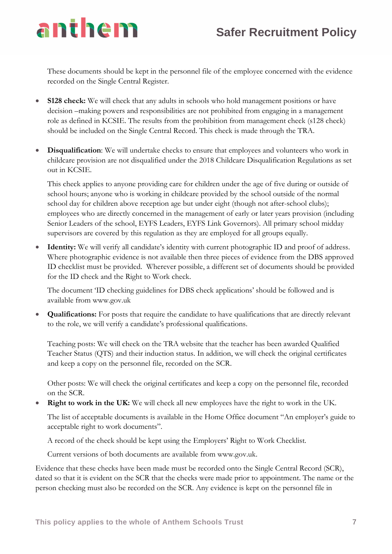These documents should be kept in the personnel file of the employee concerned with the evidence recorded on the Single Central Register.

**S128 check:** We will check that any adults in schools who hold management positions or have decision –making powers and responsibilities are not prohibited from engaging in a management role as defined in KCSIE. The results from the prohibition from management check (s128 check) should be included on the Single Central Record. This check is made through the TRA.

anthem

**Disqualification:** We will undertake checks to ensure that employees and volunteers who work in childcare provision are not disqualified under the 2018 Childcare Disqualification Regulations as set out in KCSIE.

This check applies to anyone providing care for children under the age of five during or outside of school hours; anyone who is working in childcare provided by the school outside of the normal school day for children above reception age but under eight (though not after-school clubs); employees who are directly concerned in the management of early or later years provision (including Senior Leaders of the school, EYFS Leaders, EYFS Link Governors). All primary school midday supervisors are covered by this regulation as they are employed for all groups equally.

• **Identity:** We will verify all candidate's identity with current photographic ID and proof of address. Where photographic evidence is not available then three pieces of evidence from the DBS approved ID checklist must be provided. Wherever possible, a different set of documents should be provided for the ID check and the Right to Work check.

The document 'ID checking guidelines for DBS check applications' should be followed and is available from www.gov.uk

• **Qualifications:** For posts that require the candidate to have qualifications that are directly relevant to the role, we will verify a candidate's professional qualifications.

Teaching posts: We will check on the TRA website that the teacher has been awarded Qualified Teacher Status (QTS) and their induction status. In addition, we will check the original certificates and keep a copy on the personnel file, recorded on the SCR.

Other posts: We will check the original certificates and keep a copy on the personnel file, recorded on the SCR.

**Right to work in the UK:** We will check all new employees have the right to work in the UK.

The list of acceptable documents is available in the Home Office document "An employer's guide to acceptable right to work documents".

A record of the check should be kept using the Employers' Right to Work Checklist.

Current versions of both documents are available from www.gov.uk.

Evidence that these checks have been made must be recorded onto the Single Central Record (SCR), dated so that it is evident on the SCR that the checks were made prior to appointment. The name or the person checking must also be recorded on the SCR. Any evidence is kept on the personnel file in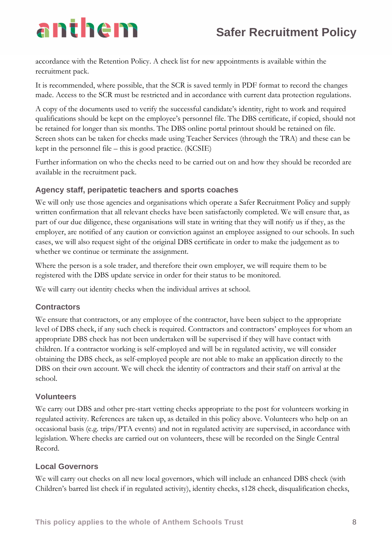# anthem

accordance with the Retention Policy. A check list for new appointments is available within the recruitment pack.

It is recommended, where possible, that the SCR is saved termly in PDF format to record the changes made. Access to the SCR must be restricted and in accordance with current data protection regulations.

A copy of the documents used to verify the successful candidate's identity, right to work and required qualifications should be kept on the employee's personnel file. The DBS certificate, if copied, should not be retained for longer than six months. The DBS online portal printout should be retained on file. Screen shots can be taken for checks made using Teacher Services (through the TRA) and these can be kept in the personnel file – this is good practice. (KCSIE)

Further information on who the checks need to be carried out on and how they should be recorded are available in the recruitment pack.

### **Agency staff, peripatetic teachers and sports coaches**

We will only use those agencies and organisations which operate a Safer Recruitment Policy and supply written confirmation that all relevant checks have been satisfactorily completed. We will ensure that, as part of our due diligence, these organisations will state in writing that they will notify us if they, as the employer, are notified of any caution or conviction against an employee assigned to our schools. In such cases, we will also request sight of the original DBS certificate in order to make the judgement as to whether we continue or terminate the assignment.

Where the person is a sole trader, and therefore their own employer, we will require them to be registered with the DBS update service in order for their status to be monitored.

We will carry out identity checks when the individual arrives at school.

### **Contractors**

We ensure that contractors, or any employee of the contractor, have been subject to the appropriate level of DBS check, if any such check is required. Contractors and contractors' employees for whom an appropriate DBS check has not been undertaken will be supervised if they will have contact with children. If a contractor working is self-employed and will be in regulated activity, we will consider obtaining the DBS check, as self-employed people are not able to make an application directly to the DBS on their own account. We will check the identity of contractors and their staff on arrival at the school.

### **Volunteers**

We carry out DBS and other pre-start vetting checks appropriate to the post for volunteers working in regulated activity. References are taken up, as detailed in this policy above. Volunteers who help on an occasional basis (e.g. trips/PTA events) and not in regulated activity are supervised, in accordance with legislation. Where checks are carried out on volunteers, these will be recorded on the Single Central Record.

### **Local Governors**

We will carry out checks on all new local governors, which will include an enhanced DBS check (with Children's barred list check if in regulated activity), identity checks, s128 check, disqualification checks,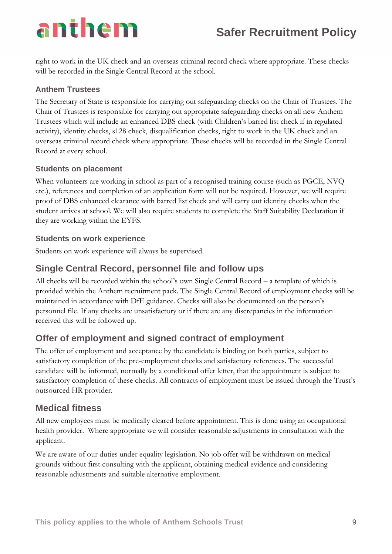# anthem

right to work in the UK check and an overseas criminal record check where appropriate. These checks will be recorded in the Single Central Record at the school.

## **Anthem Trustees**

The Secretary of State is responsible for carrying out safeguarding checks on the Chair of Trustees. The Chair of Trustees is responsible for carrying out appropriate safeguarding checks on all new Anthem Trustees which will include an enhanced DBS check (with Children's barred list check if in regulated activity), identity checks, s128 check, disqualification checks, right to work in the UK check and an overseas criminal record check where appropriate. These checks will be recorded in the Single Central Record at every school.

### **Students on placement**

When volunteers are working in school as part of a recognised training course (such as PGCE, NVQ etc.), references and completion of an application form will not be required. However, we will require proof of DBS enhanced clearance with barred list check and will carry out identity checks when the student arrives at school. We will also require students to complete the Staff Suitability Declaration if they are working within the EYFS.

### **Students on work experience**

Students on work experience will always be supervised.

## **Single Central Record, personnel file and follow ups**

All checks will be recorded within the school's own Single Central Record – a template of which is provided within the Anthem recruitment pack. The Single Central Record of employment checks will be maintained in accordance with DfE guidance. Checks will also be documented on the person's personnel file. If any checks are unsatisfactory or if there are any discrepancies in the information received this will be followed up.

## **Offer of employment and signed contract of employment**

The offer of employment and acceptance by the candidate is binding on both parties, subject to satisfactory completion of the pre-employment checks and satisfactory references. The successful candidate will be informed, normally by a conditional offer letter, that the appointment is subject to satisfactory completion of these checks. All contracts of employment must be issued through the Trust's outsourced HR provider.

## **Medical fitness**

All new employees must be medically cleared before appointment. This is done using an occupational health provider. Where appropriate we will consider reasonable adjustments in consultation with the applicant.

We are aware of our duties under equality legislation. No job offer will be withdrawn on medical grounds without first consulting with the applicant, obtaining medical evidence and considering reasonable adjustments and suitable alternative employment.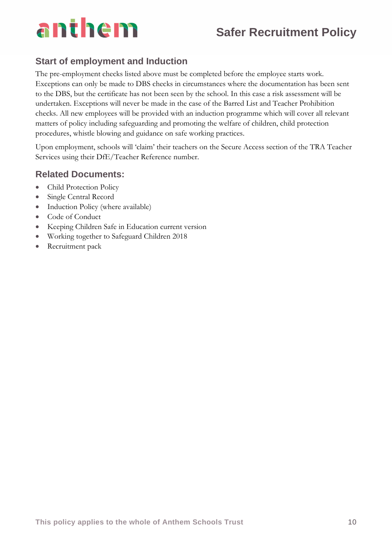# anthem

# **Safer Recruitment Policy**

## **Start of employment and Induction**

The pre-employment checks listed above must be completed before the employee starts work. Exceptions can only be made to DBS checks in circumstances where the documentation has been sent to the DBS, but the certificate has not been seen by the school. In this case a risk assessment will be undertaken. Exceptions will never be made in the case of the Barred List and Teacher Prohibition checks. All new employees will be provided with an induction programme which will cover all relevant matters of policy including safeguarding and promoting the welfare of children, child protection procedures, whistle blowing and guidance on safe working practices.

Upon employment, schools will 'claim' their teachers on the Secure Access section of the TRA Teacher Services using their DfE/Teacher Reference number.

## **Related Documents:**

- Child Protection Policy
- Single Central Record
- Induction Policy (where available)
- Code of Conduct
- Keeping Children Safe in Education current version
- Working together to Safeguard Children 2018
- Recruitment pack